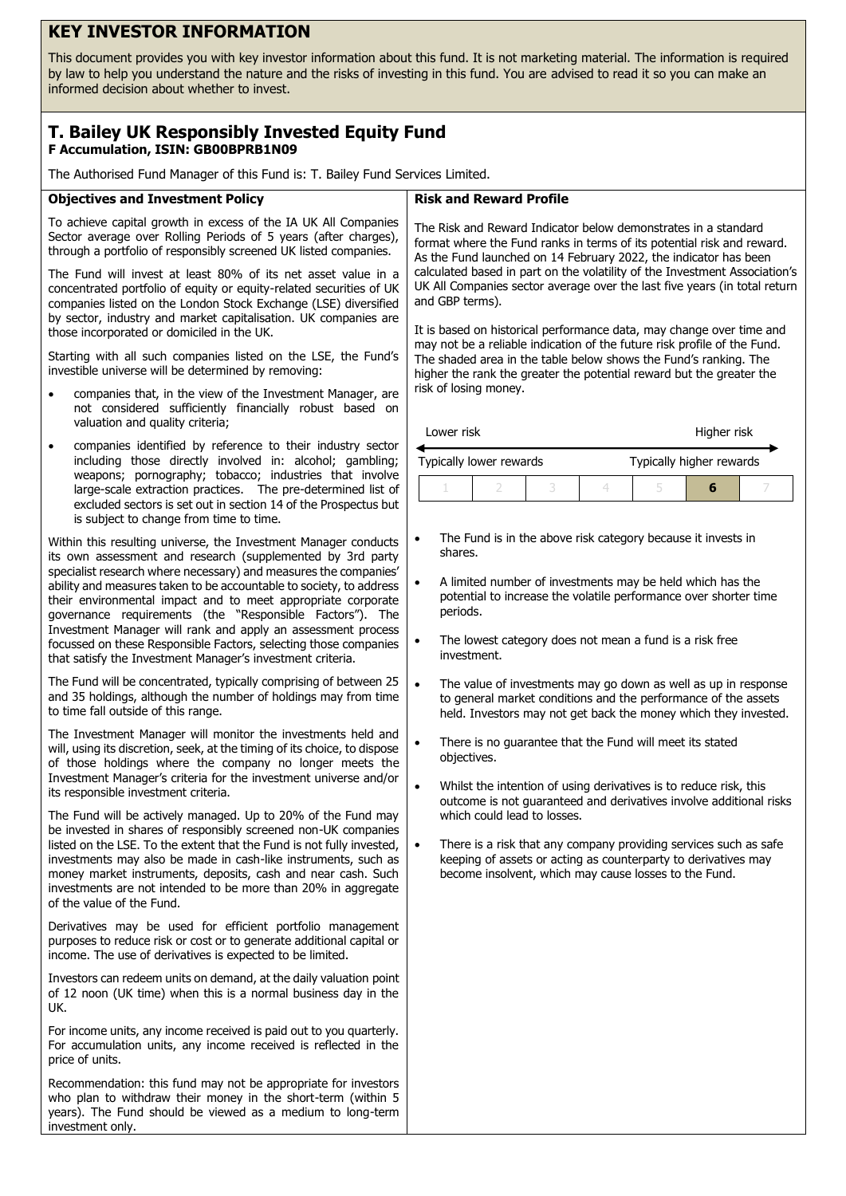# **KEY INVESTOR INFORMATION**

This document provides you with key investor information about this fund. It is not marketing material. The information is required by law to help you understand the nature and the risks of investing in this fund. You are advised to read it so you can make an informed decision about whether to invest.

## **T. Bailey UK Responsibly Invested Equity Fund F Accumulation, ISIN: GB00BPRB1N09**

The Authorised Fund Manager of this Fund is: T. Bailey Fund Services Limited.

### **Objectives and Investment Policy**

To achieve capital growth in excess of the IA UK All Companies Sector average over Rolling Periods of 5 years (after charges), through a portfolio of responsibly screened UK listed companies.

The Fund will invest at least 80% of its net asset value in a concentrated portfolio of equity or equity-related securities of UK companies listed on the London Stock Exchange (LSE) diversified by sector, industry and market capitalisation. UK companies are those incorporated or domiciled in the UK.

Starting with all such companies listed on the LSE, the Fund's investible universe will be determined by removing:

- companies that, in the view of the Investment Manager, are not considered sufficiently financially robust based on valuation and quality criteria;
- companies identified by reference to their industry sector including those directly involved in: alcohol; gambling; weapons; pornography; tobacco; industries that involve large-scale extraction practices. The pre-determined list of excluded sectors is set out in section 14 of the Prospectus but is subject to change from time to time.

Within this resulting universe, the Investment Manager conducts its own assessment and research (supplemented by 3rd party specialist research where necessary) and measures the companies' ability and measures taken to be accountable to society, to address their environmental impact and to meet appropriate corporate governance requirements (the "Responsible Factors"). The Investment Manager will rank and apply an assessment process focussed on these Responsible Factors, selecting those companies that satisfy the Investment Manager's investment criteria.

The Fund will be concentrated, typically comprising of between 25 and 35 holdings, although the number of holdings may from time to time fall outside of this range.

The Investment Manager will monitor the investments held and will, using its discretion, seek, at the timing of its choice, to dispose of those holdings where the company no longer meets the Investment Manager's criteria for the investment universe and/or its responsible investment criteria.

The Fund will be actively managed. Up to 20% of the Fund may be invested in shares of responsibly screened non-UK companies listed on the LSE. To the extent that the Fund is not fully invested, investments may also be made in cash-like instruments, such as money market instruments, deposits, cash and near cash. Such investments are not intended to be more than 20% in aggregate of the value of the Fund.

Derivatives may be used for efficient portfolio management purposes to reduce risk or cost or to generate additional capital or income. The use of derivatives is expected to be limited.

Investors can redeem units on demand, at the daily valuation point of 12 noon (UK time) when this is a normal business day in the UK.

For income units, any income received is paid out to you quarterly. For accumulation units, any income received is reflected in the price of units.

Recommendation: this fund may not be appropriate for investors who plan to withdraw their money in the short-term (within 5 years). The Fund should be viewed as a medium to long-term investment only.

### **Risk and Reward Profile**

The Risk and Reward Indicator below demonstrates in a standard format where the Fund ranks in terms of its potential risk and reward. As the Fund launched on 14 February 2022, the indicator has been calculated based in part on the volatility of the Investment Association's UK All Companies sector average over the last five years (in total return and GBP terms).

It is based on historical performance data, may change over time and may not be a reliable indication of the future risk profile of the Fund. The shaded area in the table below shows the Fund's ranking. The higher the rank the greater the potential reward but the greater the risk of losing money.

| Lower risk | Higher risk |
|------------|-------------|
|------------|-------------|

| Typically lower rewards |  |  | Typically higher rewards |  |  |  |
|-------------------------|--|--|--------------------------|--|--|--|
|                         |  |  |                          |  |  |  |

- The Fund is in the above risk category because it invests in shares.
- A limited number of investments may be held which has the potential to increase the volatile performance over shorter time periods.
- The lowest category does not mean a fund is a risk free investment.
- The value of investments may go down as well as up in response to general market conditions and the performance of the assets held. Investors may not get back the money which they invested.
- There is no quarantee that the Fund will meet its stated objectives.
- Whilst the intention of using derivatives is to reduce risk, this outcome is not guaranteed and derivatives involve additional risks which could lead to losses.
- There is a risk that any company providing services such as safe keeping of assets or acting as counterparty to derivatives may become insolvent, which may cause losses to the Fund.